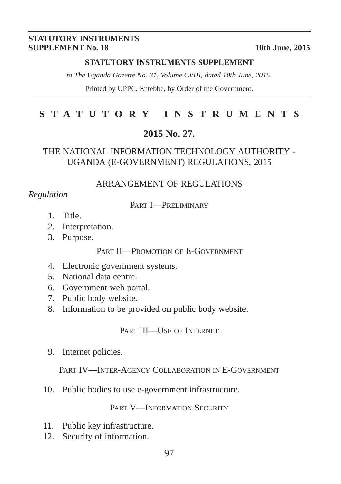#### **STATUTORY INSTRUMENTS SUPPLEMENT No. 18** 10th June, 2015

#### **STATUTORY INSTRUMENTS SUPPLEMENT**

*to The Uganda Gazette No. 31, Volume CVIII, dated 10th June, 2015.*

Printed by UPPC, Entebbe, by Order of the Government.

# **STATUTORY INSTRUMENTS**

## **2015 No. 27.**

## THE NATIONAL INFORMATION TECHNOLOGY AUTHORITY - UGANDA (E-GOVERNMENT) REGULATIONS, 2015

### ARRANGEMENT OF REGULATIONS

### *Regulation*

#### PART I—PRELIMINARY

- 1. Title.
- 2. Interpretation.
- 3. Purpose.

## PART II—PROMOTION OF E-GOVERNMENT

- 4. Electronic government systems.
- 5. National data centre.
- 6. Government web portal.
- 7. Public body website.
- 8. Information to be provided on public body website.

PART III—USE OF INTERNET

9. Internet policies.

PART IV—INTER-AGENCY COLLABORATION IN E-GOVERNMENT

10. Public bodies to use e-government infrastructure.

### PART V-INFORMATION SECURITY

- 11. Public key infrastructure.
- 12. Security of information.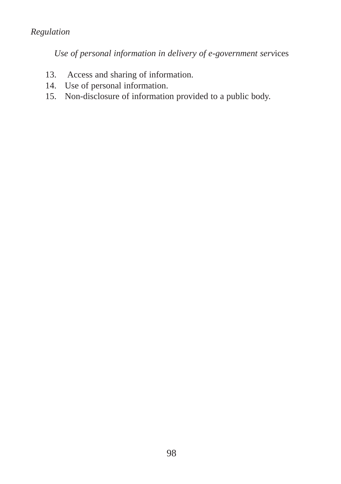# *Regulation*

*Use of personal information in delivery of e-government serv*ices

- 13. Access and sharing of information.
- 14. Use of personal information.
- 15. Non-disclosure of information provided to a public body.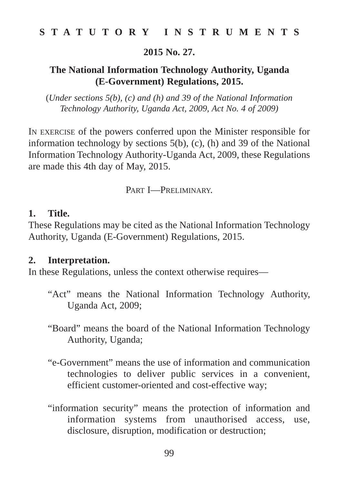**2015 No. 27.**

# **The National Information Technology Authority, Uganda (E-Government) Regulations, 2015.**

(*Under sections 5(b), (c) and (h) and 39 of the National Information Technology Authority, Uganda Act, 2009, Act No. 4 of 2009)*

IN EXERCISE of the powers conferred upon the Minister responsible for information technology by sections 5(b), (c), (h) and 39 of the National Information Technology Authority-Uganda Act, 2009, these Regulations are made this 4th day of May, 2015.

PART I—PRELIMINARY.

## **1. Title.**

These Regulations may be cited as the National Information Technology Authority, Uganda (E-Government) Regulations, 2015.

## **2. Interpretation.**

In these Regulations, unless the context otherwise requires—

- "Act" means the National Information Technology Authority, Uganda Act, 2009;
- "Board" means the board of the National Information Technology Authority, Uganda;
- "e-Government" means the use of information and communication technologies to deliver public services in a convenient, efficient customer-oriented and cost-effective way;
- "information security" means the protection of information and information systems from unauthorised access, use, disclosure, disruption, modification or destruction;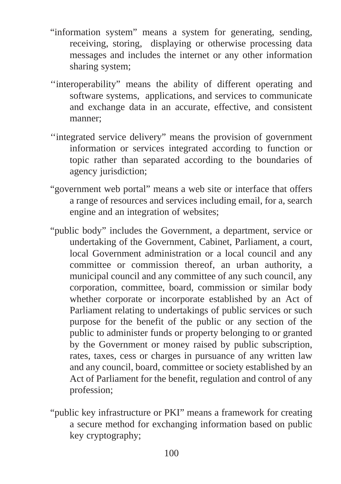- "information system" means a system for generating, sending, receiving, storing, displaying or otherwise processing data messages and includes the internet or any other information sharing system;
- ''interoperability" means the ability of different operating and software systems, applications, and services to communicate and exchange data in an accurate, effective, and consistent manner;
- ''integrated service delivery" means the provision of government information or services integrated according to function or topic rather than separated according to the boundaries of agency jurisdiction;
- "government web portal" means a web site or interface that offers a range of resources and services including email, for a, search engine and an integration of websites;
- "public body" includes the Government, a department, service or undertaking of the Government, Cabinet, Parliament, a court, local Government administration or a local council and any committee or commission thereof, an urban authority, a municipal council and any committee of any such council, any corporation, committee, board, commission or similar body whether corporate or incorporate established by an Act of Parliament relating to undertakings of public services or such purpose for the benefit of the public or any section of the public to administer funds or property belonging to or granted by the Government or money raised by public subscription, rates, taxes, cess or charges in pursuance of any written law and any council, board, committee or society established by an Act of Parliament for the benefit, regulation and control of any profession;
- "public key infrastructure or PKI" means a framework for creating a secure method for exchanging information based on public key cryptography;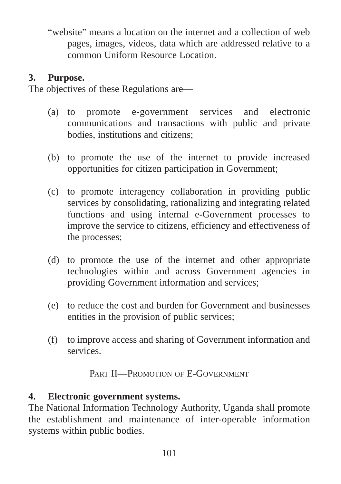"website" means a location on the internet and a collection of web pages, images, videos, data which are addressed relative to a common Uniform Resource Location.

# **3. Purpose.**

The objectives of these Regulations are—

- (a) to promote e-government services and electronic communications and transactions with public and private bodies, institutions and citizens;
- (b) to promote the use of the internet to provide increased opportunities for citizen participation in Government;
- (c) to promote interagency collaboration in providing public services by consolidating, rationalizing and integrating related functions and using internal e-Government processes to improve the service to citizens, efficiency and effectiveness of the processes;
- (d) to promote the use of the internet and other appropriate technologies within and across Government agencies in providing Government information and services;
- (e) to reduce the cost and burden for Government and businesses entities in the provision of public services;
- (f) to improve access and sharing of Government information and services.

PART II—PROMOTION OF E-GOVERNMENT

# **4. Electronic government systems.**

The National Information Technology Authority, Uganda shall promote the establishment and maintenance of inter-operable information systems within public bodies.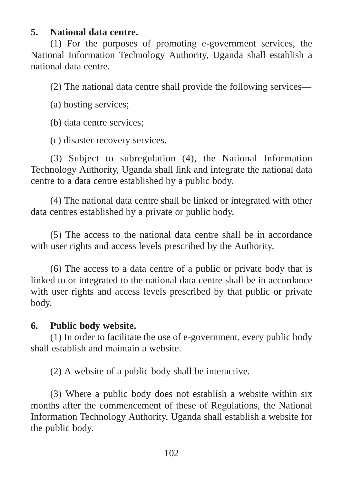## **5. National data centre.**

(1) For the purposes of promoting e-government services, the National Information Technology Authority, Uganda shall establish a national data centre.

(2) The national data centre shall provide the following services—

(a) hosting services;

(b) data centre services;

(c) disaster recovery services.

(3) Subject to subregulation (4), the National Information Technology Authority, Uganda shall link and integrate the national data centre to a data centre established by a public body.

(4) The national data centre shall be linked or integrated with other data centres established by a private or public body.

(5) The access to the national data centre shall be in accordance with user rights and access levels prescribed by the Authority.

(6) The access to a data centre of a public or private body that is linked to or integrated to the national data centre shall be in accordance with user rights and access levels prescribed by that public or private body.

## **6. Public body website.**

(1) In order to facilitate the use of e-government, every public body shall establish and maintain a website.

(2) A website of a public body shall be interactive.

(3) Where a public body does not establish a website within six months after the commencement of these of Regulations, the National Information Technology Authority, Uganda shall establish a website for the public body.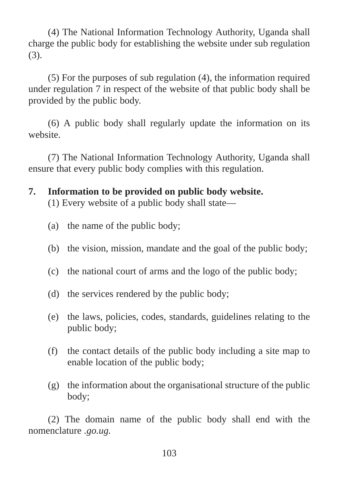(4) The National Information Technology Authority, Uganda shall charge the public body for establishing the website under sub regulation (3).

(5) For the purposes of sub regulation (4), the information required under regulation 7 in respect of the website of that public body shall be provided by the public body.

(6) A public body shall regularly update the information on its website.

(7) The National Information Technology Authority, Uganda shall ensure that every public body complies with this regulation.

**7. Information to be provided on public body website.**

(1) Every website of a public body shall state—

- (a) the name of the public body;
- (b) the vision, mission, mandate and the goal of the public body;
- (c) the national court of arms and the logo of the public body;
- (d) the services rendered by the public body;
- (e) the laws, policies, codes, standards, guidelines relating to the public body;
- (f) the contact details of the public body including a site map to enable location of the public body;
- (g) the information about the organisational structure of the public body;

(2) The domain name of the public body shall end with the nomenclature *.go.ug.*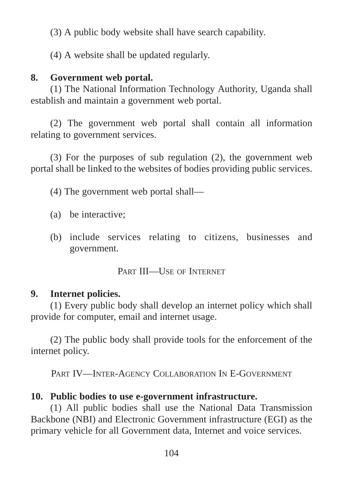(3) A public body website shall have search capability.

(4) A website shall be updated regularly.

# **8. Government web portal.**

(1) The National Information Technology Authority, Uganda shall establish and maintain a government web portal.

(2) The government web portal shall contain all information relating to government services.

(3) For the purposes of sub regulation (2), the government web portal shall be linked to the websites of bodies providing public services.

(4) The government web portal shall—

- (a) be interactive;
- (b) include services relating to citizens, businesses and government.

PART III—USE OF INTERNET

# **9. Internet policies.**

(1) Every public body shall develop an internet policy which shall provide for computer, email and internet usage.

(2) The public body shall provide tools for the enforcement of the internet policy.

PART IV—INTER-AGENCY COLLABORATION IN E-GOVERNMENT

# **10. Public bodies to use e-government infrastructure.**

(1) All public bodies shall use the National Data Transmission Backbone (NBI) and Electronic Government infrastructure (EGI) as the primary vehicle for all Government data, Internet and voice services.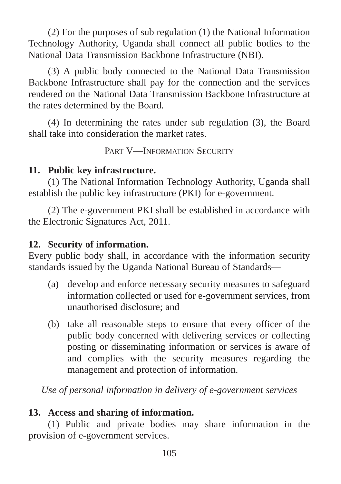(2) For the purposes of sub regulation (1) the National Information Technology Authority, Uganda shall connect all public bodies to the National Data Transmission Backbone Infrastructure (NBI).

(3) A public body connected to the National Data Transmission Backbone Infrastructure shall pay for the connection and the services rendered on the National Data Transmission Backbone Infrastructure at the rates determined by the Board.

(4) In determining the rates under sub regulation (3), the Board shall take into consideration the market rates.

PART V—INFORMATION SECURITY

# **11. Public key infrastructure.**

(1) The National Information Technology Authority, Uganda shall establish the public key infrastructure (PKI) for e-government.

(2) The e-government PKI shall be established in accordance with the Electronic Signatures Act, 2011.

# **12. Security of information.**

Every public body shall, in accordance with the information security standards issued by the Uganda National Bureau of Standards—

- (a) develop and enforce necessary security measures to safeguard information collected or used for e-government services, from unauthorised disclosure; and
- (b) take all reasonable steps to ensure that every officer of the public body concerned with delivering services or collecting posting or disseminating information or services is aware of and complies with the security measures regarding the management and protection of information.

*Use of personal information in delivery of e-government services*

# **13. Access and sharing of information.**

(1) Public and private bodies may share information in the provision of e-government services.